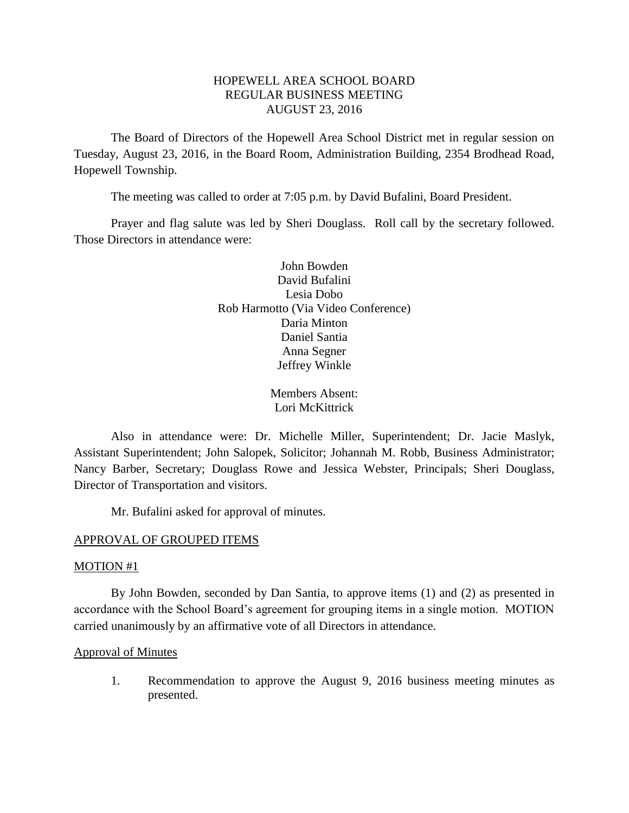# HOPEWELL AREA SCHOOL BOARD REGULAR BUSINESS MEETING AUGUST 23, 2016

The Board of Directors of the Hopewell Area School District met in regular session on Tuesday, August 23, 2016, in the Board Room, Administration Building, 2354 Brodhead Road, Hopewell Township.

The meeting was called to order at 7:05 p.m. by David Bufalini, Board President.

Prayer and flag salute was led by Sheri Douglass. Roll call by the secretary followed. Those Directors in attendance were:

> John Bowden David Bufalini Lesia Dobo Rob Harmotto (Via Video Conference) Daria Minton Daniel Santia Anna Segner Jeffrey Winkle

> > Members Absent: Lori McKittrick

Also in attendance were: Dr. Michelle Miller, Superintendent; Dr. Jacie Maslyk, Assistant Superintendent; John Salopek, Solicitor; Johannah M. Robb, Business Administrator; Nancy Barber, Secretary; Douglass Rowe and Jessica Webster, Principals; Sheri Douglass, Director of Transportation and visitors.

Mr. Bufalini asked for approval of minutes.

#### APPROVAL OF GROUPED ITEMS

#### MOTION #1

By John Bowden, seconded by Dan Santia, to approve items (1) and (2) as presented in accordance with the School Board's agreement for grouping items in a single motion. MOTION carried unanimously by an affirmative vote of all Directors in attendance.

#### Approval of Minutes

1. Recommendation to approve the August 9, 2016 business meeting minutes as presented.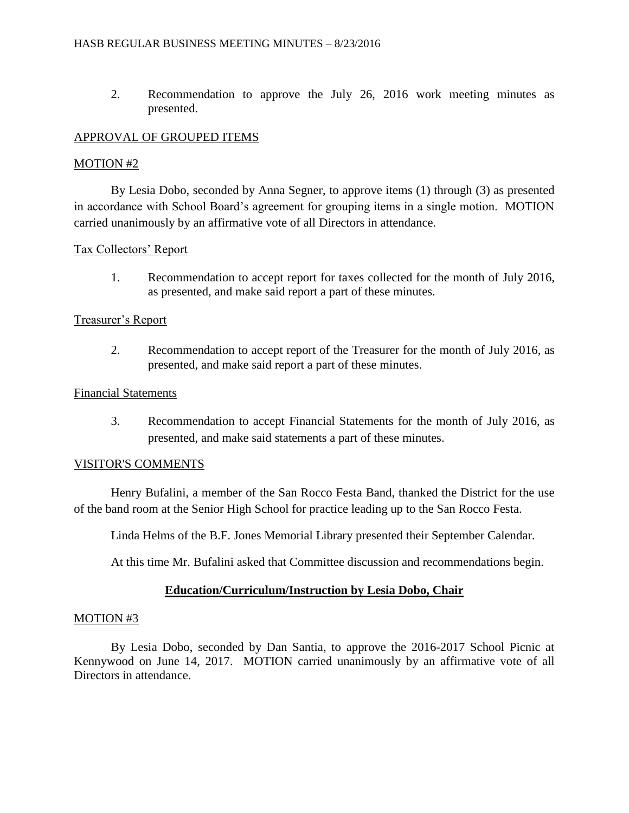2. Recommendation to approve the July 26, 2016 work meeting minutes as presented.

# APPROVAL OF GROUPED ITEMS

## MOTION #2

By Lesia Dobo, seconded by Anna Segner, to approve items (1) through (3) as presented in accordance with School Board's agreement for grouping items in a single motion. MOTION carried unanimously by an affirmative vote of all Directors in attendance.

# Tax Collectors' Report

1. Recommendation to accept report for taxes collected for the month of July 2016, as presented, and make said report a part of these minutes.

# Treasurer's Report

2. Recommendation to accept report of the Treasurer for the month of July 2016, as presented, and make said report a part of these minutes.

## Financial Statements

3. Recommendation to accept Financial Statements for the month of July 2016, as presented, and make said statements a part of these minutes.

## VISITOR'S COMMENTS

Henry Bufalini, a member of the San Rocco Festa Band, thanked the District for the use of the band room at the Senior High School for practice leading up to the San Rocco Festa.

Linda Helms of the B.F. Jones Memorial Library presented their September Calendar.

At this time Mr. Bufalini asked that Committee discussion and recommendations begin.

# **Education/Curriculum/Instruction by Lesia Dobo, Chair**

## MOTION #3

By Lesia Dobo, seconded by Dan Santia, to approve the 2016-2017 School Picnic at Kennywood on June 14, 2017. MOTION carried unanimously by an affirmative vote of all Directors in attendance.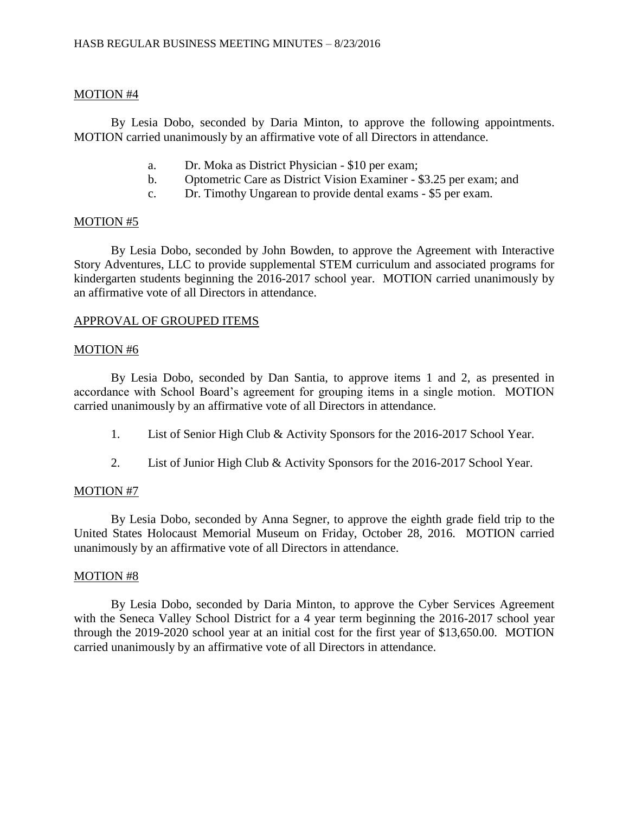# MOTION #4

By Lesia Dobo, seconded by Daria Minton, to approve the following appointments. MOTION carried unanimously by an affirmative vote of all Directors in attendance.

- a. Dr. Moka as District Physician \$10 per exam;
- b. Optometric Care as District Vision Examiner \$3.25 per exam; and
- c. Dr. Timothy Ungarean to provide dental exams \$5 per exam.

## MOTION #5

By Lesia Dobo, seconded by John Bowden, to approve the Agreement with Interactive Story Adventures, LLC to provide supplemental STEM curriculum and associated programs for kindergarten students beginning the 2016-2017 school year. MOTION carried unanimously by an affirmative vote of all Directors in attendance.

## APPROVAL OF GROUPED ITEMS

## MOTION #6

By Lesia Dobo, seconded by Dan Santia, to approve items 1 and 2, as presented in accordance with School Board's agreement for grouping items in a single motion. MOTION carried unanimously by an affirmative vote of all Directors in attendance.

- 1. List of Senior High Club & Activity Sponsors for the 2016-2017 School Year.
- 2. List of Junior High Club & Activity Sponsors for the 2016-2017 School Year.

## MOTION #7

By Lesia Dobo, seconded by Anna Segner, to approve the eighth grade field trip to the United States Holocaust Memorial Museum on Friday, October 28, 2016. MOTION carried unanimously by an affirmative vote of all Directors in attendance.

## MOTION #8

By Lesia Dobo, seconded by Daria Minton, to approve the Cyber Services Agreement with the Seneca Valley School District for a 4 year term beginning the 2016-2017 school year through the 2019-2020 school year at an initial cost for the first year of \$13,650.00. MOTION carried unanimously by an affirmative vote of all Directors in attendance.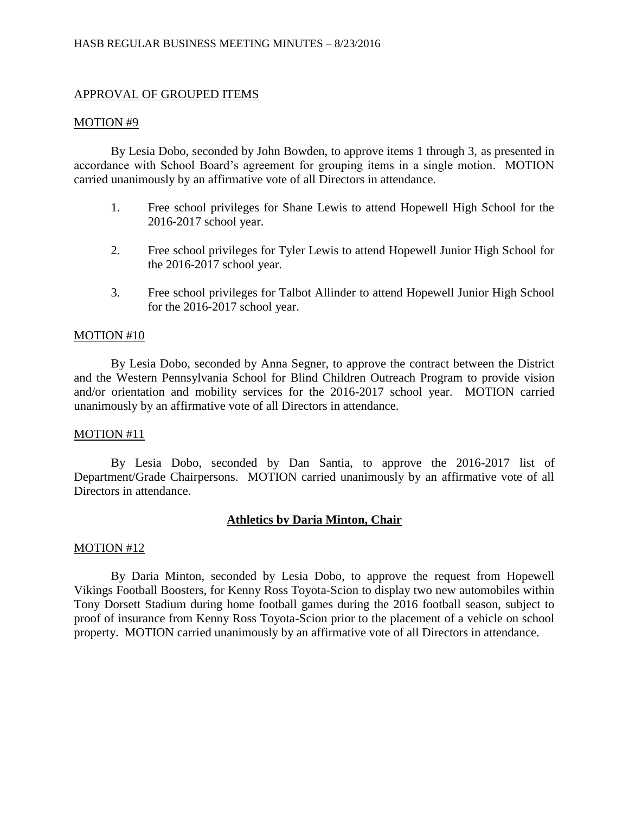## APPROVAL OF GROUPED ITEMS

### MOTION #9

By Lesia Dobo, seconded by John Bowden, to approve items 1 through 3, as presented in accordance with School Board's agreement for grouping items in a single motion. MOTION carried unanimously by an affirmative vote of all Directors in attendance.

- 1. Free school privileges for Shane Lewis to attend Hopewell High School for the 2016-2017 school year.
- 2. Free school privileges for Tyler Lewis to attend Hopewell Junior High School for the 2016-2017 school year.
- 3. Free school privileges for Talbot Allinder to attend Hopewell Junior High School for the 2016-2017 school year.

### MOTION #10

By Lesia Dobo, seconded by Anna Segner, to approve the contract between the District and the Western Pennsylvania School for Blind Children Outreach Program to provide vision and/or orientation and mobility services for the 2016-2017 school year. MOTION carried unanimously by an affirmative vote of all Directors in attendance.

#### MOTION #11

By Lesia Dobo, seconded by Dan Santia, to approve the 2016-2017 list of Department/Grade Chairpersons. MOTION carried unanimously by an affirmative vote of all Directors in attendance.

## **Athletics by Daria Minton, Chair**

#### MOTION #12

By Daria Minton, seconded by Lesia Dobo, to approve the request from Hopewell Vikings Football Boosters, for Kenny Ross Toyota-Scion to display two new automobiles within Tony Dorsett Stadium during home football games during the 2016 football season, subject to proof of insurance from Kenny Ross Toyota-Scion prior to the placement of a vehicle on school property. MOTION carried unanimously by an affirmative vote of all Directors in attendance.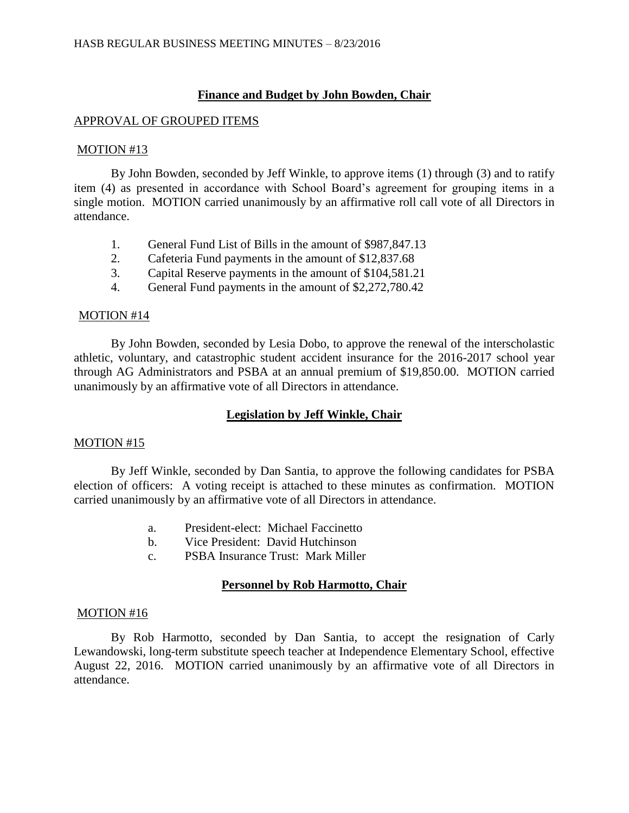### **Finance and Budget by John Bowden, Chair**

#### APPROVAL OF GROUPED ITEMS

### MOTION #13

By John Bowden, seconded by Jeff Winkle, to approve items (1) through (3) and to ratify item (4) as presented in accordance with School Board's agreement for grouping items in a single motion. MOTION carried unanimously by an affirmative roll call vote of all Directors in attendance.

- 1. General Fund List of Bills in the amount of \$987,847.13
- 2. Cafeteria Fund payments in the amount of \$12,837.68
- 3. Capital Reserve payments in the amount of \$104,581.21
- 4. General Fund payments in the amount of \$2,272,780.42

#### MOTION #14

By John Bowden, seconded by Lesia Dobo, to approve the renewal of the interscholastic athletic, voluntary, and catastrophic student accident insurance for the 2016-2017 school year through AG Administrators and PSBA at an annual premium of \$19,850.00. MOTION carried unanimously by an affirmative vote of all Directors in attendance.

## **Legislation by Jeff Winkle, Chair**

#### MOTION #15

By Jeff Winkle, seconded by Dan Santia, to approve the following candidates for PSBA election of officers: A voting receipt is attached to these minutes as confirmation. MOTION carried unanimously by an affirmative vote of all Directors in attendance.

- a. President-elect: Michael Faccinetto
- b. Vice President: David Hutchinson
- c. PSBA Insurance Trust: Mark Miller

## **Personnel by Rob Harmotto, Chair**

#### MOTION #16

By Rob Harmotto, seconded by Dan Santia, to accept the resignation of Carly Lewandowski, long-term substitute speech teacher at Independence Elementary School, effective August 22, 2016. MOTION carried unanimously by an affirmative vote of all Directors in attendance.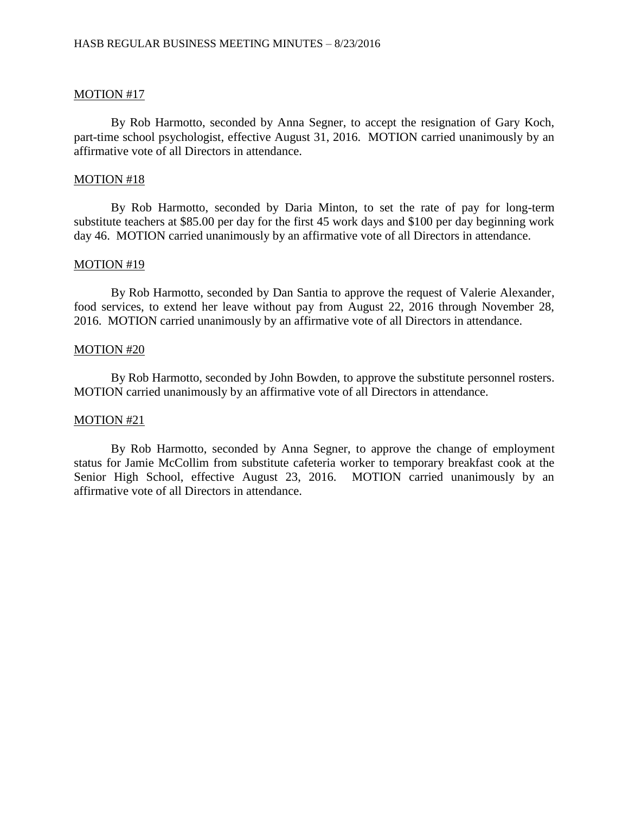### MOTION #17

By Rob Harmotto, seconded by Anna Segner, to accept the resignation of Gary Koch, part-time school psychologist, effective August 31, 2016. MOTION carried unanimously by an affirmative vote of all Directors in attendance.

#### MOTION #18

By Rob Harmotto, seconded by Daria Minton, to set the rate of pay for long-term substitute teachers at \$85.00 per day for the first 45 work days and \$100 per day beginning work day 46. MOTION carried unanimously by an affirmative vote of all Directors in attendance.

#### MOTION #19

By Rob Harmotto, seconded by Dan Santia to approve the request of Valerie Alexander, food services, to extend her leave without pay from August 22, 2016 through November 28, 2016. MOTION carried unanimously by an affirmative vote of all Directors in attendance.

#### MOTION #20

By Rob Harmotto, seconded by John Bowden, to approve the substitute personnel rosters. MOTION carried unanimously by an affirmative vote of all Directors in attendance.

### MOTION #21

By Rob Harmotto, seconded by Anna Segner, to approve the change of employment status for Jamie McCollim from substitute cafeteria worker to temporary breakfast cook at the Senior High School, effective August 23, 2016. MOTION carried unanimously by an affirmative vote of all Directors in attendance.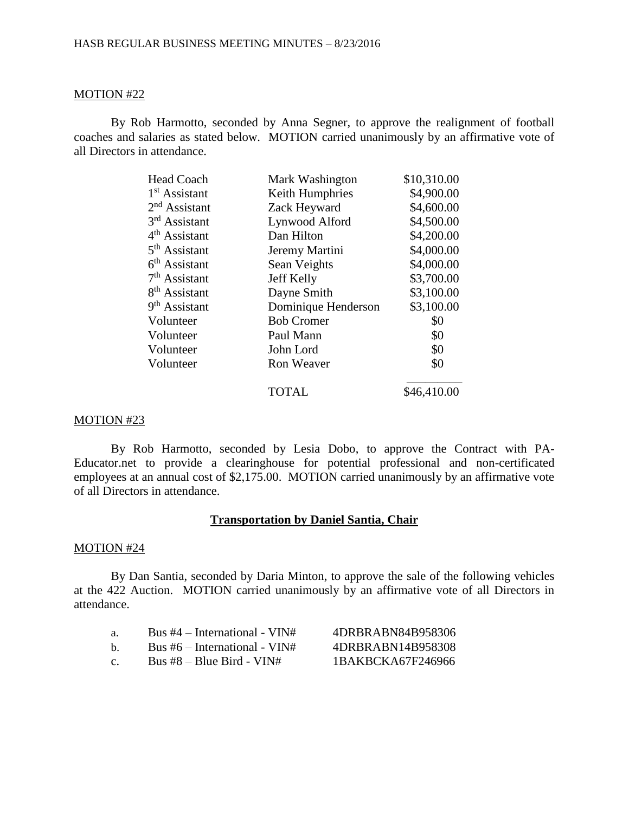### MOTION #22

By Rob Harmotto, seconded by Anna Segner, to approve the realignment of football coaches and salaries as stated below. MOTION carried unanimously by an affirmative vote of all Directors in attendance.

| <b>Head Coach</b>         | Mark Washington     | \$10,310.00 |
|---------------------------|---------------------|-------------|
| 1 <sup>st</sup> Assistant | Keith Humphries     | \$4,900.00  |
| $2nd$ Assistant           | Zack Heyward        | \$4,600.00  |
| $3rd$ Assistant           | Lynwood Alford      | \$4,500.00  |
| 4 <sup>th</sup> Assistant | Dan Hilton          | \$4,200.00  |
| $5th$ Assistant           | Jeremy Martini      | \$4,000.00  |
| $6th$ Assistant           | Sean Veights        | \$4,000.00  |
| $7th$ Assistant           | Jeff Kelly          | \$3,700.00  |
| 8 <sup>th</sup> Assistant | Dayne Smith         | \$3,100.00  |
| 9 <sup>th</sup> Assistant | Dominique Henderson | \$3,100.00  |
| Volunteer                 | <b>Bob Cromer</b>   | \$0         |
| Volunteer                 | Paul Mann           | \$0         |
| Volunteer                 | John Lord           | \$0         |
| Volunteer                 | <b>Ron Weaver</b>   | \$0         |
|                           | <b>TOTAL</b>        | \$46,410.00 |

#### MOTION #23

By Rob Harmotto, seconded by Lesia Dobo, to approve the Contract with PA-Educator.net to provide a clearinghouse for potential professional and non-certificated employees at an annual cost of \$2,175.00. MOTION carried unanimously by an affirmative vote of all Directors in attendance.

### **Transportation by Daniel Santia, Chair**

#### MOTION #24

By Dan Santia, seconded by Daria Minton, to approve the sale of the following vehicles at the 422 Auction. MOTION carried unanimously by an affirmative vote of all Directors in attendance.

| а. | Bus $#4$ – International - VIN# | 4DRBRABN84B958306 |
|----|---------------------------------|-------------------|
| b. | Bus $#6$ – International - VIN# | 4DRBRABN14B958308 |
| C. | Bus $#8 -$ Blue Bird - VIN#     | 1BAKBCKA67F246966 |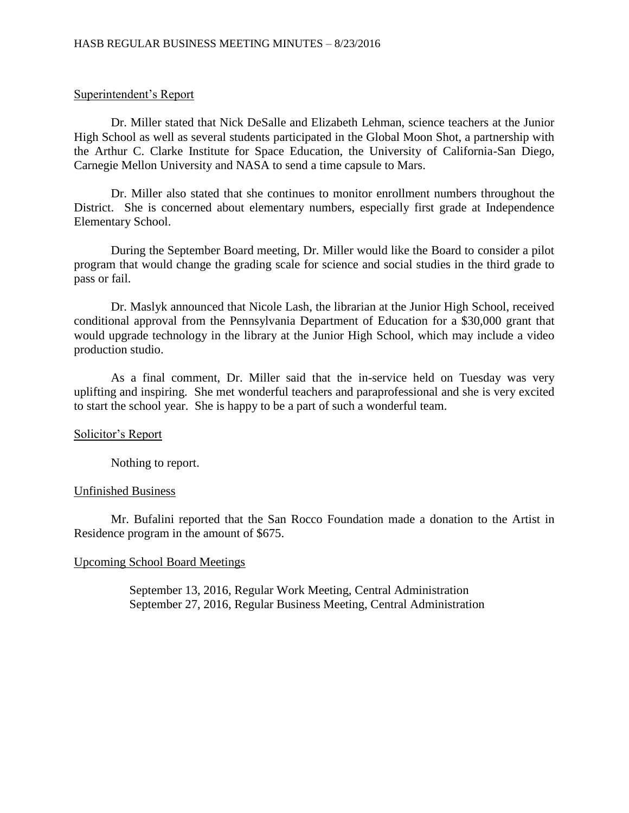#### Superintendent's Report

Dr. Miller stated that Nick DeSalle and Elizabeth Lehman, science teachers at the Junior High School as well as several students participated in the Global Moon Shot, a partnership with the Arthur C. Clarke Institute for Space Education, the University of California-San Diego, Carnegie Mellon University and NASA to send a time capsule to Mars.

Dr. Miller also stated that she continues to monitor enrollment numbers throughout the District. She is concerned about elementary numbers, especially first grade at Independence Elementary School.

During the September Board meeting, Dr. Miller would like the Board to consider a pilot program that would change the grading scale for science and social studies in the third grade to pass or fail.

Dr. Maslyk announced that Nicole Lash, the librarian at the Junior High School, received conditional approval from the Pennsylvania Department of Education for a \$30,000 grant that would upgrade technology in the library at the Junior High School, which may include a video production studio.

As a final comment, Dr. Miller said that the in-service held on Tuesday was very uplifting and inspiring. She met wonderful teachers and paraprofessional and she is very excited to start the school year. She is happy to be a part of such a wonderful team.

#### Solicitor's Report

Nothing to report.

#### Unfinished Business

Mr. Bufalini reported that the San Rocco Foundation made a donation to the Artist in Residence program in the amount of \$675.

#### Upcoming School Board Meetings

September 13, 2016, Regular Work Meeting, Central Administration September 27, 2016, Regular Business Meeting, Central Administration